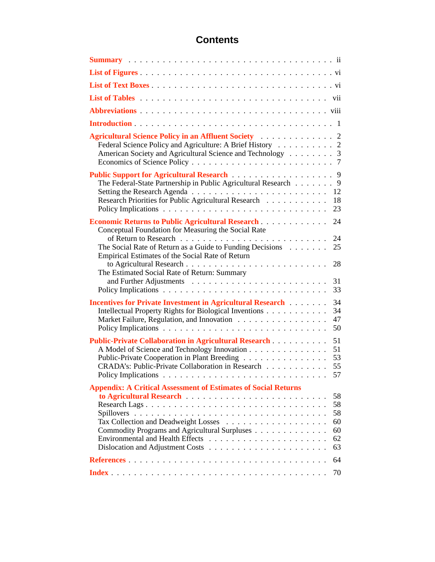### **Contents**

| Federal Science Policy and Agriculture: A Brief History 2<br>American Society and Agricultural Science and Technology 3                                                                                                                                                                                                                                             |
|---------------------------------------------------------------------------------------------------------------------------------------------------------------------------------------------------------------------------------------------------------------------------------------------------------------------------------------------------------------------|
| Public Support for Agricultural Research 9<br>The Federal-State Partnership in Public Agricultural Research 9<br>12<br>Research Priorities for Public Agricultural Research<br>18<br>23                                                                                                                                                                             |
| Economic Returns to Public Agricultural Research<br>24<br>Conceptual Foundation for Measuring the Social Rate<br>24<br>The Social Rate of Return as a Guide to Funding Decisions $\dots \dots$<br>25<br>Empirical Estimates of the Social Rate of Return                                                                                                            |
| 28<br>The Estimated Social Rate of Return: Summary<br>31<br>33                                                                                                                                                                                                                                                                                                      |
| 34<br><b>Incentives for Private Investment in Agricultural Research [1] Agricultural Research</b> [1] Agricultural Research [1] Agricultural Research [1] Agricultural Research [1] Agricultural Research [1] Agricultural Research [1] A<br>34<br>Intellectual Property Rights for Biological Inventions<br>Market Failure, Regulation, and Innovation<br>47<br>50 |
| 51<br><b>Public-Private Collaboration in Agricultural Research Mateural Research</b><br>A Model of Science and Technology Innovation<br>51<br>Public-Private Cooperation in Plant Breeding<br>53<br>CRADA's: Public-Private Collaboration in Research<br>55                                                                                                         |
| <b>Appendix: A Critical Assessment of Estimates of Social Returns</b><br>58<br>58<br>58<br>60<br>Commodity Programs and Agricultural Surpluses<br>60<br>62<br>63                                                                                                                                                                                                    |
| 64                                                                                                                                                                                                                                                                                                                                                                  |
| 70                                                                                                                                                                                                                                                                                                                                                                  |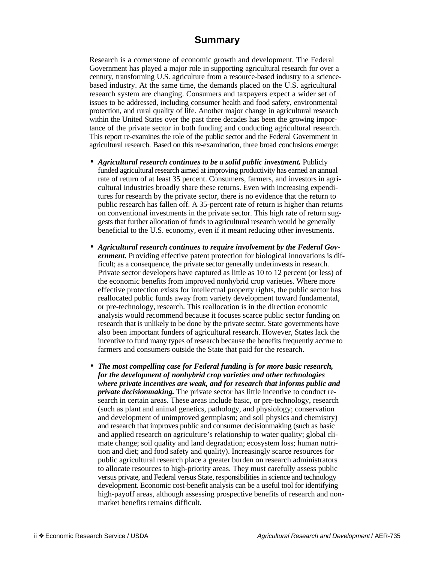#### **Summary**

<span id="page-1-0"></span>Research is a cornerstone of economic growth and development. The Federal Government has played a major role in supporting agricultural research for over a century, transforming U.S. agriculture from a resource-based industry to a sciencebased industry. At the same time, the demands placed on the U.S. agricultural research system are changing. Consumers and taxpayers expect a wider set of issues to be addressed, including consumer health and food safety, environmental protection, and rural quality of life. Another major change in agricultural research within the United States over the past three decades has been the growing importance of the private sector in both funding and conducting agricultural research. This report re-examines the role of the public sector and the Federal Government in agricultural research. Based on this re-examination, three broad conclusions emerge:

- *Agricultural research continues to be a solid public investment.* Publicly funded agricultural research aimed at improving productivity has earned an annual rate of return of at least 35 percent. Consumers, farmers, and investors in agricultural industries broadly share these returns. Even with increasing expenditures for research by the private sector, there is no evidence that the return to public research has fallen off. A 35-percent rate of return is higher than returns on conventional investments in the private sector. This high rate of return suggests that further allocation of funds to agricultural research would be generally beneficial to the U.S. economy, even if it meant reducing other investments.
- *Agricultural research continues to require involvement by the Federal Government.* Providing effective patent protection for biological innovations is difficult; as a consequence, the private sector generally underinvests in research. Private sector developers have captured as little as 10 to 12 percent (or less) of the economic benefits from improved nonhybrid crop varieties. Where more effective protection exists for intellectual property rights, the public sector has reallocated public funds away from variety development toward fundamental, or pre-technology, research. This reallocation is in the direction economic analysis would recommend because it focuses scarce public sector funding on research that is unlikely to be done by the private sector. State governments have also been important funders of agricultural research. However, States lack the incentive to fund many types of research because the benefits frequently accrue to farmers and consumers outside the State that paid for the research.
- *The most compelling case for Federal funding is for more basic research, for the development of nonhybrid crop varieties and other technologies where private incentives are weak, and for research that informs public and private decisionmaking.* The private sector has little incentive to conduct research in certain areas. These areas include basic, or pre-technology, research (such as plant and animal genetics, pathology, and physiology; conservation and development of unimproved germplasm; and soil physics and chemistry) and research that improves public and consumer decisionmaking (such as basic and applied research on agriculture's relationship to water quality; global climate change; soil quality and land degradation; ecosystem loss; human nutrition and diet; and food safety and quality). Increasingly scarce resources for public agricultural research place a greater burden on research administrators to allocate resources to high-priority areas. They must carefully assess public versus private, and Federal versus State, responsibilities in science and technology development. Economic cost-benefit analysis can be a useful tool for identifying high-payoff areas, although assessing prospective benefits of research and nonmarket benefits remains difficult.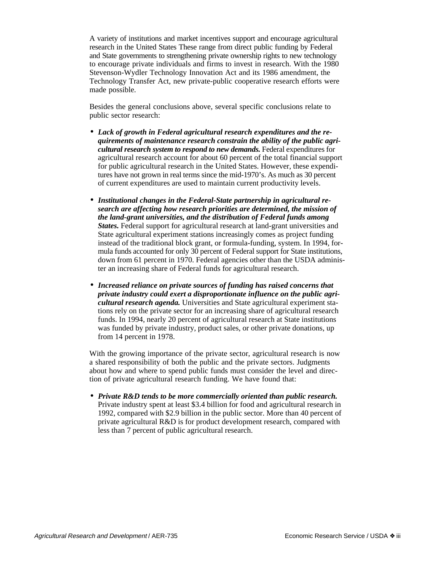A variety of institutions and market incentives support and encourage agricultural research in the United States These range from direct public funding by Federal and State governments to strengthening private ownership rights to new technology to encourage private individuals and firms to invest in research. With the 1980 Stevenson-Wydler Technology Innovation Act and its 1986 amendment, the Technology Transfer Act, new private-public cooperative research efforts were made possible.

Besides the general conclusions above, several specific conclusions relate to public sector research:

- *Lack of growth in Federal agricultural research expenditures and the requirements of maintenance research constrain the ability of the public agricultural research system to respond to new demands.* Federal expenditures for agricultural research account for about 60 percent of the total financial support for public agricultural research in the United States. However, these expenditures have not grown in real terms since the mid-1970's. As much as 30 percent of current expenditures are used to maintain current productivity levels.
- *Institutional changes in the Federal-State partnership in agricultural research are affecting how research priorities are determined, the mission of the land-grant universities, and the distribution of Federal funds among States.* Federal support for agricultural research at land-grant universities and State agricultural experiment stations increasingly comes as project funding instead of the traditional block grant, or formula-funding, system. In 1994, formula funds accounted for only 30 percent of Federal support for State institutions, down from 61 percent in 1970. Federal agencies other than the USDA administer an increasing share of Federal funds for agricultural research.
- *Increased reliance on private sources of funding has raised concerns that private industry could exert a disproportionate influence on the public agricultural research agenda.* Universities and State agricultural experiment stations rely on the private sector for an increasing share of agricultural research funds. In 1994, nearly 20 percent of agricultural research at State institutions was funded by private industry, product sales, or other private donations, up from 14 percent in 1978.

With the growing importance of the private sector, agricultural research is now a shared responsibility of both the public and the private sectors. Judgments about how and where to spend public funds must consider the level and direction of private agricultural research funding. We have found that:

• *Private R&D tends to be more commercially oriented than public research.* Private industry spent at least \$3.4 billion for food and agricultural research in 1992, compared with \$2.9 billion in the public sector. More than 40 percent of private agricultural R&D is for product development research, compared with less than 7 percent of public agricultural research.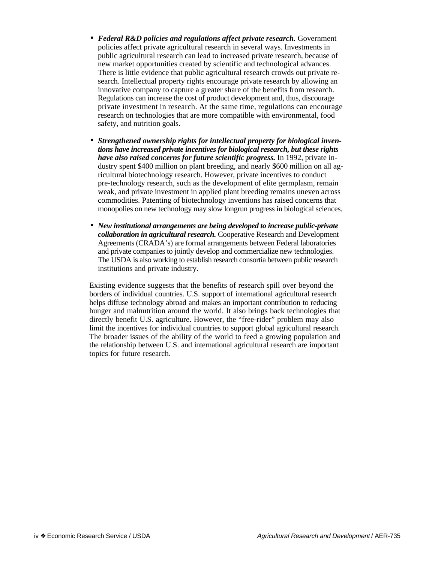- *Federal R&D policies and regulations affect private research.* Government policies affect private agricultural research in several ways. Investments in public agricultural research can lead to increased private research, because of new market opportunities created by scientific and technological advances. There is little evidence that public agricultural research crowds out private research. Intellectual property rights encourage private research by allowing an innovative company to capture a greater share of the benefits from research. Regulations can increase the cost of product development and, thus, discourage private investment in research. At the same time, regulations can encourage research on technologies that are more compatible with environmental, food safety, and nutrition goals.
- *Strengthened ownership rights for intellectual property for biological inventions have increased private incentives for biological research, but these rights have also raised concerns for future scientific progress.* In 1992, private industry spent \$400 million on plant breeding, and nearly \$600 million on all agricultural biotechnology research. However, private incentives to conduct pre-technology research, such as the development of elite germplasm, remain weak, and private investment in applied plant breeding remains uneven across commodities. Patenting of biotechnology inventions has raised concerns that monopolies on new technology may slow longrun progress in biological sciences.
- *New institutional arrangements are being developed to increase public-private collaboration in agricultural research.* Cooperative Research and Development Agreements (CRADA's) are formal arrangements between Federal laboratories and private companies to jointly develop and commercialize new technologies. The USDA is also working to establish research consortia between public research institutions and private industry.

Existing evidence suggests that the benefits of research spill over beyond the borders of individual countries. U.S. support of international agricultural research helps diffuse technology abroad and makes an important contribution to reducing hunger and malnutrition around the world. It also brings back technologies that directly benefit U.S. agriculture. However, the "free-rider" problem may also limit the incentives for individual countries to support global agricultural research. The broader issues of the ability of the world to feed a growing population and the relationship between U.S. and international agricultural research are important topics for future research.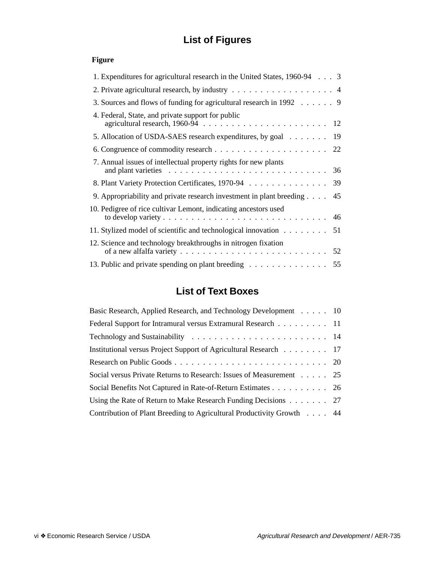# **List of Figures**

#### <span id="page-4-1"></span><span id="page-4-0"></span>**Figure**

| 1. Expenditures for agricultural research in the United States, 1960-94 3                                                                                                |    |
|--------------------------------------------------------------------------------------------------------------------------------------------------------------------------|----|
| 2. Private agricultural research, by industry 4                                                                                                                          |    |
| 3. Sources and flows of funding for agricultural research in 1992 9                                                                                                      |    |
| 4. Federal, State, and private support for public                                                                                                                        |    |
| 5. Allocation of USDA-SAES research expenditures, by goal 19                                                                                                             |    |
|                                                                                                                                                                          |    |
| 7. Annual issues of intellectual property rights for new plants<br>and plant varieties $\ldots \ldots \ldots \ldots \ldots \ldots \ldots \ldots \ldots \ldots \ldots 36$ |    |
| 8. Plant Variety Protection Certificates, 1970-94                                                                                                                        | 39 |
| 9. Appropriability and private research investment in plant breeding $\ldots$ 45                                                                                         |    |
| 10. Pedigree of rice cultivar Lemont, indicating ancestors used                                                                                                          |    |
| 11. Stylized model of scientific and technological innovation 51                                                                                                         |    |
| 12. Science and technology breakthroughs in nitrogen fixation                                                                                                            |    |
| 13. Public and private spending on plant breeding                                                                                                                        | 55 |
|                                                                                                                                                                          |    |

## **List of Text Boxes**

| Basic Research, Applied Research, and Technology Development 10       |  |
|-----------------------------------------------------------------------|--|
| Federal Support for Intramural versus Extramural Research 11          |  |
|                                                                       |  |
| Institutional versus Project Support of Agricultural Research 17      |  |
|                                                                       |  |
| Social versus Private Returns to Research: Issues of Measurement 25   |  |
| Social Benefits Not Captured in Rate-of-Return Estimates 26           |  |
| Using the Rate of Return to Make Research Funding Decisions 27        |  |
| Contribution of Plant Breeding to Agricultural Productivity Growth 44 |  |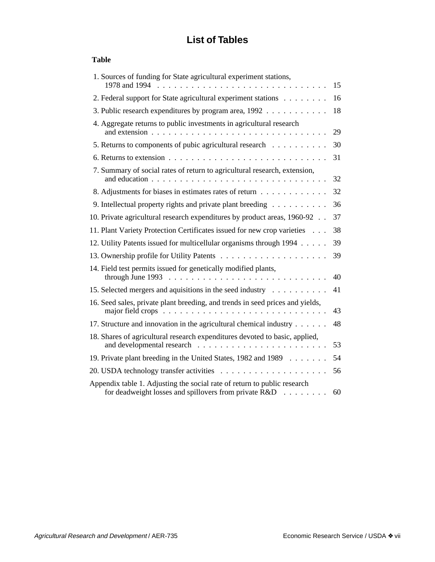# **List of Tables**

#### <span id="page-5-0"></span>**Table**

| 1. Sources of funding for State agricultural experiment stations,                                                                                                                         |    |
|-------------------------------------------------------------------------------------------------------------------------------------------------------------------------------------------|----|
| 1978 and 1994                                                                                                                                                                             | 15 |
| 2. Federal support for State agricultural experiment stations                                                                                                                             | 16 |
| 3. Public research expenditures by program area, 1992                                                                                                                                     | 18 |
| 4. Aggregate returns to public investments in agricultural research                                                                                                                       | 29 |
| 5. Returns to components of pubic agricultural research                                                                                                                                   | 30 |
|                                                                                                                                                                                           | 31 |
| 7. Summary of social rates of return to agricultural research, extension,<br>and education<br>$\mathbf{r}$                                                                                | 32 |
| 8. Adjustments for biases in estimates rates of return                                                                                                                                    | 32 |
| 9. Intellectual property rights and private plant breeding                                                                                                                                | 36 |
| 10. Private agricultural research expenditures by product areas, 1960-92.                                                                                                                 | 37 |
| 11. Plant Variety Protection Certificates issued for new crop varieties                                                                                                                   | 38 |
| 12. Utility Patents issued for multicellular organisms through 1994                                                                                                                       | 39 |
|                                                                                                                                                                                           | 39 |
| 14. Field test permits issued for genetically modified plants,<br>through June 1993                                                                                                       | 40 |
| 15. Selected mergers and aquisitions in the seed industry                                                                                                                                 | 41 |
| 16. Seed sales, private plant breeding, and trends in seed prices and yields,<br>major field crops $\dots \dots \dots$<br>$\cdot$ $\cdot$ $\cdot$ $\cdot$ $\cdot$<br>$\ddot{\phantom{a}}$ | 43 |
| 17. Structure and innovation in the agricultural chemical industry                                                                                                                        | 48 |
| 18. Shares of agricultural research expenditures devoted to basic, applied,<br>and developmental research                                                                                 | 53 |
| 19. Private plant breeding in the United States, 1982 and 1989                                                                                                                            | 54 |
|                                                                                                                                                                                           | 56 |
| Appendix table 1. Adjusting the social rate of return to public research<br>for deadweight losses and spillovers from private R&D                                                         | 60 |